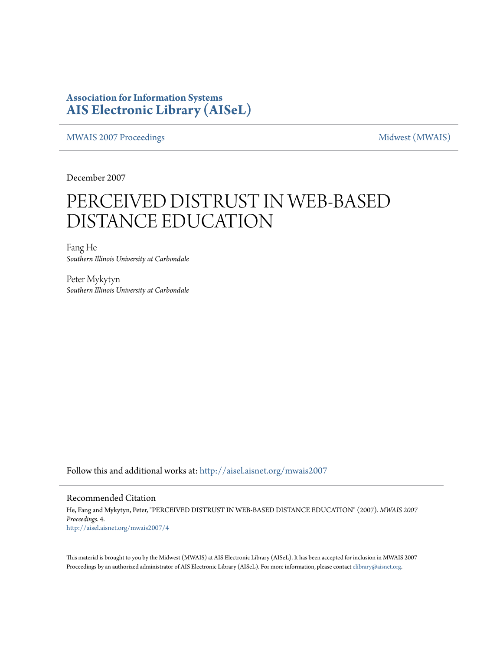### **Association for Information Systems [AIS Electronic Library \(AISeL\)](http://aisel.aisnet.org?utm_source=aisel.aisnet.org%2Fmwais2007%2F4&utm_medium=PDF&utm_campaign=PDFCoverPages)**

[MWAIS 2007 Proceedings](http://aisel.aisnet.org/mwais2007?utm_source=aisel.aisnet.org%2Fmwais2007%2F4&utm_medium=PDF&utm_campaign=PDFCoverPages) and the matrix of the [Midwest \(MWAIS\)](http://aisel.aisnet.org/mwais?utm_source=aisel.aisnet.org%2Fmwais2007%2F4&utm_medium=PDF&utm_campaign=PDFCoverPages)

December 2007

# PERCEIVED DISTRUST IN WEB-BASED DISTANCE EDUCATION

Fang He *Southern Illinois University at Carbondale*

Peter Mykytyn *Southern Illinois University at Carbondale*

Follow this and additional works at: [http://aisel.aisnet.org/mwais2007](http://aisel.aisnet.org/mwais2007?utm_source=aisel.aisnet.org%2Fmwais2007%2F4&utm_medium=PDF&utm_campaign=PDFCoverPages)

#### Recommended Citation

He, Fang and Mykytyn, Peter, "PERCEIVED DISTRUST IN WEB-BASED DISTANCE EDUCATION" (2007). *MWAIS 2007 Proceedings*. 4. [http://aisel.aisnet.org/mwais2007/4](http://aisel.aisnet.org/mwais2007/4?utm_source=aisel.aisnet.org%2Fmwais2007%2F4&utm_medium=PDF&utm_campaign=PDFCoverPages)

This material is brought to you by the Midwest (MWAIS) at AIS Electronic Library (AISeL). It has been accepted for inclusion in MWAIS 2007 Proceedings by an authorized administrator of AIS Electronic Library (AISeL). For more information, please contact [elibrary@aisnet.org](mailto:elibrary@aisnet.org%3E).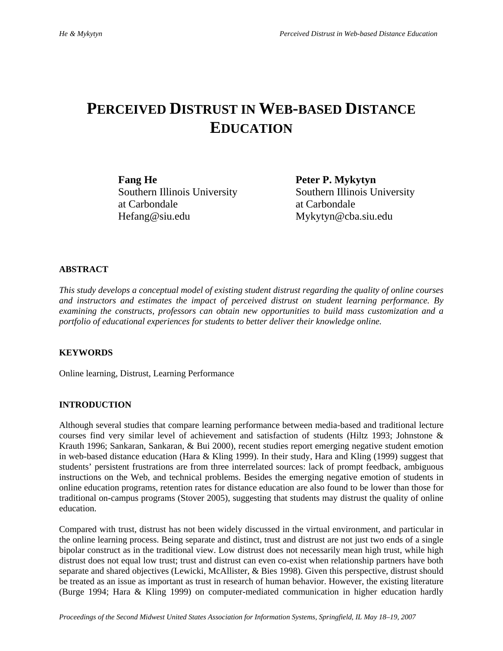## **PERCEIVED DISTRUST IN WEB-BASED DISTANCE EDUCATION**

**Fang He** Peter P. Mykytyn Southern Illinois University Southern Illinois University at Carbondale at Carbondale Hefang@siu.edu Mykytyn@cba.siu.edu

#### **ABSTRACT**

*This study develops a conceptual model of existing student distrust regarding the quality of online courses and instructors and estimates the impact of perceived distrust on student learning performance. By examining the constructs, professors can obtain new opportunities to build mass customization and a portfolio of educational experiences for students to better deliver their knowledge online.* 

#### **KEYWORDS**

Online learning, Distrust, Learning Performance

#### **INTRODUCTION**

Although several studies that compare learning performance between media-based and traditional lecture courses find very similar level of achievement and satisfaction of students (Hiltz 1993; Johnstone & Krauth 1996; Sankaran, Sankaran, & Bui 2000), recent studies report emerging negative student emotion in web-based distance education (Hara & Kling 1999). In their study, Hara and Kling (1999) suggest that students' persistent frustrations are from three interrelated sources: lack of prompt feedback, ambiguous instructions on the Web, and technical problems. Besides the emerging negative emotion of students in online education programs, retention rates for distance education are also found to be lower than those for traditional on-campus programs (Stover 2005), suggesting that students may distrust the quality of online education.

Compared with trust, distrust has not been widely discussed in the virtual environment, and particular in the online learning process. Being separate and distinct, trust and distrust are not just two ends of a single bipolar construct as in the traditional view. Low distrust does not necessarily mean high trust, while high distrust does not equal low trust; trust and distrust can even co-exist when relationship partners have both separate and shared objectives (Lewicki, McAllister, & Bies 1998). Given this perspective, distrust should be treated as an issue as important as trust in research of human behavior. However, the existing literature (Burge 1994; Hara & Kling 1999) on computer-mediated communication in higher education hardly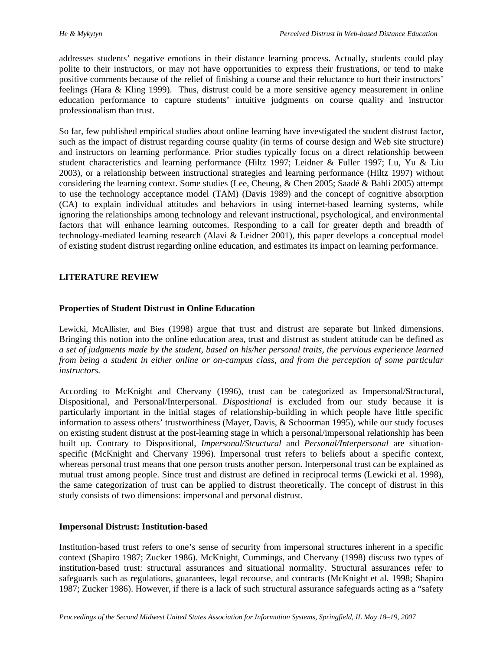addresses students' negative emotions in their distance learning process. Actually, students could play polite to their instructors, or may not have opportunities to express their frustrations, or tend to make positive comments because of the relief of finishing a course and their reluctance to hurt their instructors' feelings (Hara & Kling 1999). Thus, distrust could be a more sensitive agency measurement in online education performance to capture students' intuitive judgments on course quality and instructor professionalism than trust.

So far, few published empirical studies about online learning have investigated the student distrust factor, such as the impact of distrust regarding course quality (in terms of course design and Web site structure) and instructors on learning performance. Prior studies typically focus on a direct relationship between student characteristics and learning performance (Hiltz 1997; Leidner & Fuller 1997; Lu, Yu & Liu 2003), or a relationship between instructional strategies and learning performance (Hiltz 1997) without considering the learning context. Some studies (Lee, Cheung, & Chen 2005; Saadé & Bahli 2005) attempt to use the technology acceptance model (TAM) (Davis 1989) and the concept of cognitive absorption (CA) to explain individual attitudes and behaviors in using internet-based learning systems, while ignoring the relationships among technology and relevant instructional, psychological, and environmental factors that will enhance learning outcomes. Responding to a call for greater depth and breadth of technology-mediated learning research (Alavi & Leidner 2001), this paper develops a conceptual model of existing student distrust regarding online education, and estimates its impact on learning performance.

#### **LITERATURE REVIEW**

#### **Properties of Student Distrust in Online Education**

Lewicki, McAllister, and Bies (1998) argue that trust and distrust are separate but linked dimensions. Bringing this notion into the online education area, trust and distrust as student attitude can be defined as *a set of judgments made by the student, based on his/her personal traits, the pervious experience learned from being a student in either online or on-campus class, and from the perception of some particular instructors.* 

According to McKnight and Chervany (1996), trust can be categorized as Impersonal/Structural, Dispositional, and Personal/Interpersonal. *Dispositional* is excluded from our study because it is particularly important in the initial stages of relationship-building in which people have little specific information to assess others' trustworthiness (Mayer, Davis, & Schoorman 1995), while our study focuses on existing student distrust at the post-learning stage in which a personal/impersonal relationship has been built up. Contrary to Dispositional, *Impersonal/Structural* and *Personal/Interpersonal* are situationspecific (McKnight and Chervany 1996). Impersonal trust refers to beliefs about a specific context, whereas personal trust means that one person trusts another person. Interpersonal trust can be explained as mutual trust among people. Since trust and distrust are defined in reciprocal terms (Lewicki et al. 1998), the same categorization of trust can be applied to distrust theoretically. The concept of distrust in this study consists of two dimensions: impersonal and personal distrust.

#### **Impersonal Distrust: Institution-based**

Institution-based trust refers to one's sense of security from impersonal structures inherent in a specific context (Shapiro 1987; Zucker 1986). McKnight, Cummings, and Chervany (1998) discuss two types of institution-based trust: structural assurances and situational normality. Structural assurances refer to safeguards such as regulations, guarantees, legal recourse, and contracts (McKnight et al. 1998; Shapiro 1987; Zucker 1986). However, if there is a lack of such structural assurance safeguards acting as a "safety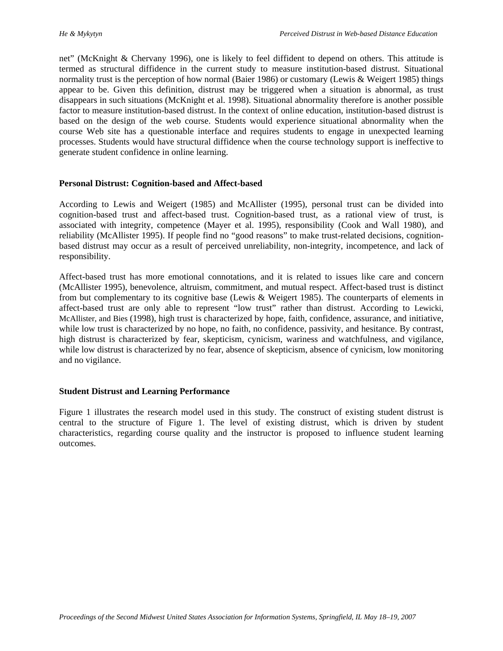net" (McKnight & Chervany 1996), one is likely to feel diffident to depend on others. This attitude is termed as structural diffidence in the current study to measure institution-based distrust. Situational normality trust is the perception of how normal (Baier 1986) or customary (Lewis & Weigert 1985) things appear to be. Given this definition, distrust may be triggered when a situation is abnormal, as trust disappears in such situations (McKnight et al. 1998). Situational abnormality therefore is another possible factor to measure institution-based distrust. In the context of online education, institution-based distrust is based on the design of the web course. Students would experience situational abnormality when the course Web site has a questionable interface and requires students to engage in unexpected learning processes. Students would have structural diffidence when the course technology support is ineffective to generate student confidence in online learning.

#### **Personal Distrust: Cognition-based and Affect-based**

According to Lewis and Weigert (1985) and McAllister (1995), personal trust can be divided into cognition-based trust and affect-based trust. Cognition-based trust, as a rational view of trust, is associated with integrity, competence (Mayer et al. 1995), responsibility (Cook and Wall 1980), and reliability (McAllister 1995). If people find no "good reasons" to make trust-related decisions, cognitionbased distrust may occur as a result of perceived unreliability, non-integrity, incompetence, and lack of responsibility.

Affect-based trust has more emotional connotations, and it is related to issues like care and concern (McAllister 1995), benevolence, altruism, commitment, and mutual respect. Affect-based trust is distinct from but complementary to its cognitive base (Lewis & Weigert 1985). The counterparts of elements in affect-based trust are only able to represent "low trust" rather than distrust. According to Lewicki, McAllister, and Bies (1998), high trust is characterized by hope, faith, confidence, assurance, and initiative, while low trust is characterized by no hope, no faith, no confidence, passivity, and hesitance. By contrast, high distrust is characterized by fear, skepticism, cynicism, wariness and watchfulness, and vigilance, while low distrust is characterized by no fear, absence of skepticism, absence of cynicism, low monitoring and no vigilance.

#### **Student Distrust and Learning Performance**

Figure 1 illustrates the research model used in this study. The construct of existing student distrust is central to the structure of Figure 1. The level of existing distrust, which is driven by student characteristics, regarding course quality and the instructor is proposed to influence student learning outcomes.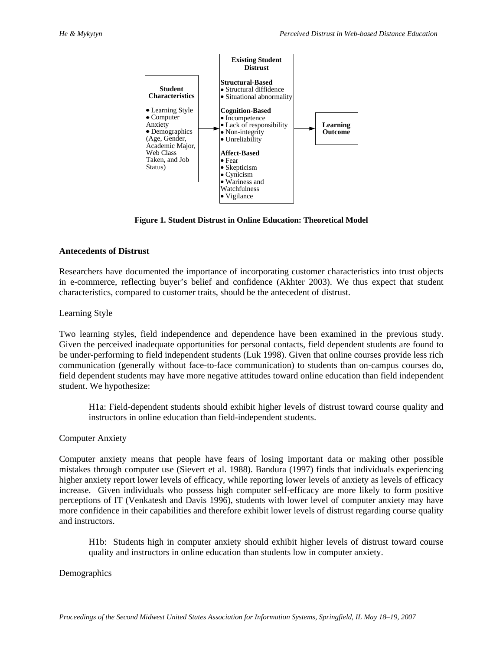

**Figure 1. Student Distrust in Online Education: Theoretical Model** 

#### **Antecedents of Distrust**

Researchers have documented the importance of incorporating customer characteristics into trust objects in e-commerce, reflecting buyer's belief and confidence (Akhter 2003). We thus expect that student characteristics, compared to customer traits, should be the antecedent of distrust.

#### Learning Style

Two learning styles, field independence and dependence have been examined in the previous study. Given the perceived inadequate opportunities for personal contacts, field dependent students are found to be under-performing to field independent students (Luk 1998). Given that online courses provide less rich communication (generally without face-to-face communication) to students than on-campus courses do, field dependent students may have more negative attitudes toward online education than field independent student. We hypothesize:

H1a: Field-dependent students should exhibit higher levels of distrust toward course quality and instructors in online education than field-independent students.

#### Computer Anxiety

Computer anxiety means that people have fears of losing important data or making other possible mistakes through computer use (Sievert et al. 1988). Bandura (1997) finds that individuals experiencing higher anxiety report lower levels of efficacy, while reporting lower levels of anxiety as levels of efficacy increase. Given individuals who possess high computer self-efficacy are more likely to form positive perceptions of IT (Venkatesh and Davis 1996), students with lower level of computer anxiety may have more confidence in their capabilities and therefore exhibit lower levels of distrust regarding course quality and instructors.

H1b: Students high in computer anxiety should exhibit higher levels of distrust toward course quality and instructors in online education than students low in computer anxiety.

Demographics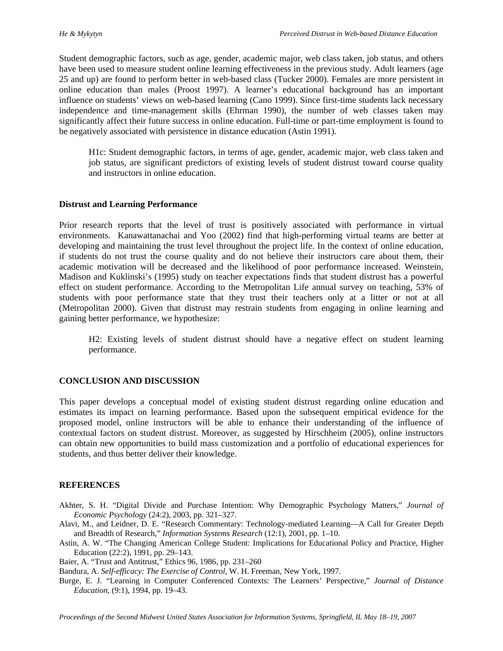Student demographic factors, such as age, gender, academic major, web class taken, job status, and others have been used to measure student online learning effectiveness in the previous study. Adult learners (age 25 and up) are found to perform better in web-based class (Tucker 2000). Females are more persistent in online education than males (Proost 1997). A learner's educational background has an important influence on students' views on web-based learning (Cano 1999). Since first-time students lack necessary independence and time-management skills (Ehrman 1990), the number of web classes taken may significantly affect their future success in online education. Full-time or part-time employment is found to be negatively associated with persistence in distance education (Astin 1991).

H1c: Student demographic factors, in terms of age, gender, academic major, web class taken and job status, are significant predictors of existing levels of student distrust toward course quality and instructors in online education.

#### **Distrust and Learning Performance**

Prior research reports that the level of trust is positively associated with performance in virtual environments. Kanawattanachai and Yoo (2002) find that high-performing virtual teams are better at developing and maintaining the trust level throughout the project life. In the context of online education, if students do not trust the course quality and do not believe their instructors care about them, their academic motivation will be decreased and the likelihood of poor performance increased. Weinstein, Madison and Kuklinski's (1995) study on teacher expectations finds that student distrust has a powerful effect on student performance. According to the Metropolitan Life annual survey on teaching, 53% of students with poor performance state that they trust their teachers only at a litter or not at all (Metropolitan 2000). Given that distrust may restrain students from engaging in online learning and gaining better performance, we hypothesize:

H2: Existing levels of student distrust should have a negative effect on student learning performance.

#### **CONCLUSION AND DISCUSSION**

This paper develops a conceptual model of existing student distrust regarding online education and estimates its impact on learning performance. Based upon the subsequent empirical evidence for the proposed model, online instructors will be able to enhance their understanding of the influence of contextual factors on student distrust. Moreover, as suggested by Hirschheim (2005), online instructors can obtain new opportunities to build mass customization and a portfolio of educational experiences for students, and thus better deliver their knowledge.

#### **REFERENCES**

- Akhter, S. H. "Digital Divide and Purchase Intention: Why Demographic Psychology Matters," *Journal of Economic Psychology* (24:2), 2003, pp. 321–327.
- Alavi, M., and Leidner, D. E. "Research Commentary: Technology-mediated Learning—A Call for Greater Depth and Breadth of Research," *Information Systems Research* (12:1), 2001, pp. 1–10.
- Astin, A. W. "The Changing American College Student: Implications for Educational Policy and Practice, Higher Education (22:2), 1991, pp. 29–143.

Baier, A. "Trust and Antitrust," Ethics 96, 1986, pp. 231–260

Bandura, A. *Self-efficacy: The Exercise of Control,* W. H. Freeman, New York, 1997.

Burge, E. J. "Learning in Computer Conferenced Contexts: The Learners' Perspective," *Journal of Distance Education,* (9:1), 1994, pp. 19–43.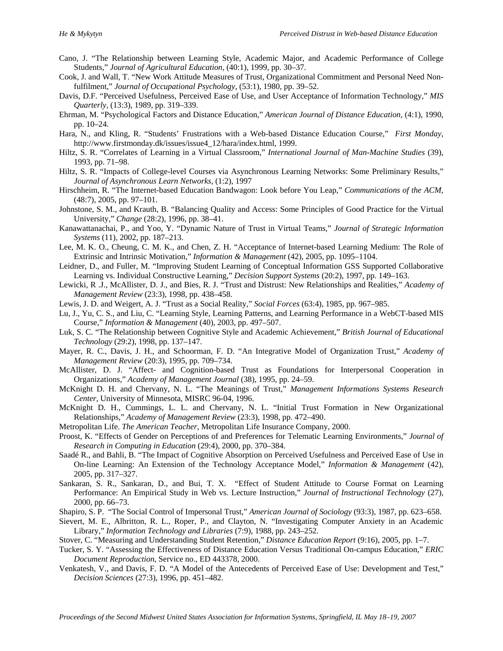- Cano, J. "The Relationship between Learning Style, Academic Major, and Academic Performance of College Students," *Journal of Agricultural Education,* (40:1), 1999, pp. 30–37.
- Cook, J. and Wall, T. "New Work Attitude Measures of Trust, Organizational Commitment and Personal Need Nonfulfilment," *Journal of Occupational Psychology*, (53:1), 1980, pp. 39–52.
- Davis, D.F. "Perceived Usefulness, Perceived Ease of Use, and User Acceptance of Information Technology," *MIS Quarterly,* (13:3), 1989, pp. 319–339.
- Ehrman, M. "Psychological Factors and Distance Education," *American Journal of Distance Education*, (4:1), 1990, pp. 10–24.
- Hara, N., and Kling, R. "Students' Frustrations with a Web-based Distance Education Course," *First Monday*, http://www.firstmonday.dk/issues/issue4\_12/hara/index.html, 1999.
- Hiltz, S. R. "Correlates of Learning in a Virtual Classroom," *International Journal of Man-Machine Studies* (39), 1993, pp. 71–98.
- Hiltz, S. R. "Impacts of College-level Courses via Asynchronous Learning Networks: Some Preliminary Results," *Journal of Asynchronous Learn Networks,* (1:2), 1997
- Hirschheim, R. "The Internet-based Education Bandwagon: Look before You Leap," *Communications of the ACM,*  (48:7), 2005, pp. 97–101.
- Johnstone, S. M., and Krauth, B. "Balancing Quality and Access: Some Principles of Good Practice for the Virtual University," *Change* (28:2), 1996, pp. 38–41.
- Kanawattanachai, P., and Yoo, Y. "Dynamic Nature of Trust in Virtual Teams," *Journal of Strategic Information Systems* (11), 2002, pp. 187–213.
- Lee, M. K. O., Cheung, C. M. K., and Chen, Z. H. "Acceptance of Internet-based Learning Medium: The Role of Extrinsic and Intrinsic Motivation," *Information & Management* (42), 2005, pp. 1095–1104.
- Leidner, D., and Fuller, M. "Improving Student Learning of Conceptual Information GSS Supported Collaborative Learning vs. Individual Constructive Learning," *Decision Support Systems* (20:2), 1997, pp. 149–163.
- Lewicki, R .J., McAllister, D. J., and Bies, R. J. "Trust and Distrust: New Relationships and Realities," *Academy of Management Review* (23:3), 1998, pp. 438–458.
- Lewis, J. D. and Weigert, A. J. "Trust as a Social Reality," *Social Forces* (63:4), 1985, pp. 967–985.
- Lu, J., Yu, C. S., and Liu, C. "Learning Style, Learning Patterns, and Learning Performance in a WebCT-based MIS Course," *Information & Management* (40), 2003, pp. 497–507.
- Luk, S. C. "The Relationship between Cognitive Style and Academic Achievement," *British Journal of Educational Technology* (29:2), 1998, pp. 137–147.
- Mayer, R. C., Davis, J. H., and Schoorman, F. D. "An Integrative Model of Organization Trust," *Academy of Management Review* (20:3), 1995, pp. 709–734.
- McAllister, D. J. "Affect- and Cognition-based Trust as Foundations for Interpersonal Cooperation in Organizations," *Academy of Management Journal* (38), 1995, pp. 24–59.
- McKnight D. H. and Chervany, N. L. "The Meanings of Trust," *Management Informations Systems Research Center,* University of Minnesota, MISRC 96-04, 1996.
- McKnight D. H., Cummings, L. L. and Chervany, N. L. "Initial Trust Formation in New Organizational Relationships," *Academy of Management Review* (23:3), 1998, pp. 472–490.
- Metropolitan Life. *The American Teacher,* Metropolitan Life Insurance Company, 2000.
- Proost, K. "Effects of Gender on Perceptions of and Preferences for Telematic Learning Environments," *Journal of Research in Computing in Education* (29:4), 2000, pp. 370–384.
- Saadé R., and Bahli, B. "The Impact of Cognitive Absorption on Perceived Usefulness and Perceived Ease of Use in On-line Learning: An Extension of the Technology Acceptance Model," *Information & Management* (42), 2005, pp. 317–327.
- Sankaran, S. R., Sankaran, D., and Bui, T. X. "Effect of Student Attitude to Course Format on Learning Performance: An Empirical Study in Web vs. Lecture Instruction," *Journal of Instructional Technology* (27), 2000, pp. 66–73.
- Shapiro, S. P. "The Social Control of Impersonal Trust," *American Journal of Sociology* (93:3), 1987, pp. 623–658.
- Sievert, M. E., Albritton, R. L., Roper, P., and Clayton, N. "Investigating Computer Anxiety in an Academic Library," *Information Technology and Libraries* (7:9), 1988, pp. 243–252.
- Stover, C. "Measuring and Understanding Student Retention," *Distance Education Report* (9:16), 2005, pp. 1–7.
- Tucker, S. Y. "Assessing the Effectiveness of Distance Education Versus Traditional On-campus Education*,*" *ERIC Document Reproduction*, Service no., ED 443378, 2000.
- Venkatesh, V., and Davis, F. D. "A Model of the Antecedents of Perceived Ease of Use: Development and Test," *Decision Sciences* (27:3), 1996, pp. 451–482.